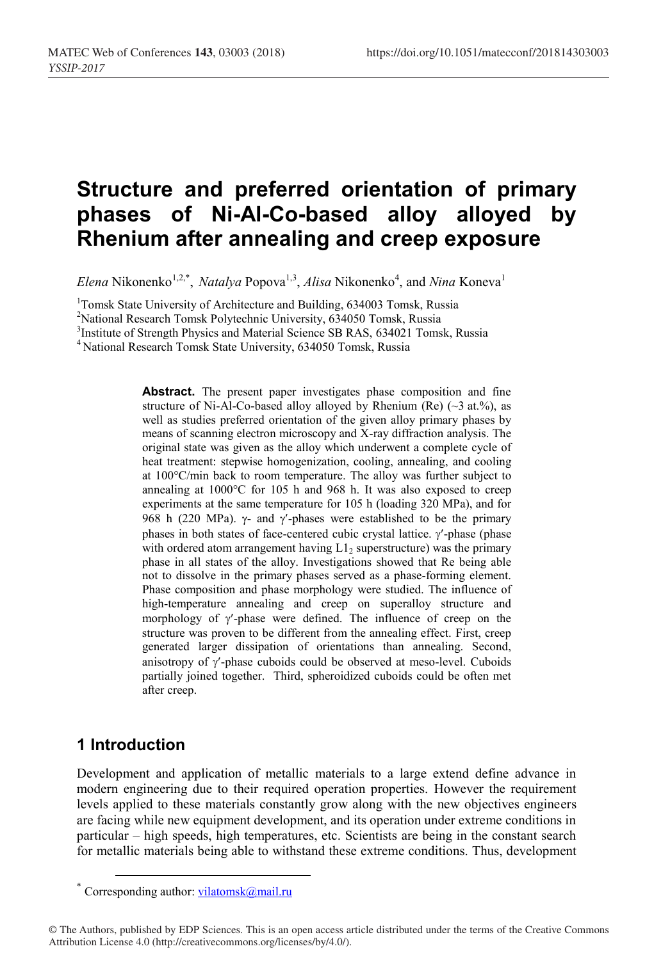# **Structure and preferred orientation of primary phases of Ni-Al-Co-based alloy alloyed by Rhenium after annealing and creep exposure**

Elena Nikonenko<sup>1,2,\*</sup>, *Natalya* Popova<sup>1,3</sup>, *Alisa* Nikonenko<sup>4</sup>, and *Nina* Koneva<sup>1</sup>

<sup>1</sup>Tomsk State University of Architecture and Building, 634003 Tomsk, Russia<br><sup>2</sup>National Research Tomsk Polytechnic University, 634050 Tomsk, Russia

 ${}^{2}$ National Research Tomsk Polytechnic University, 634050 Tomsk, Russia  ${}^{3}$ Institute of Strength Physics and Material Science SB RAS, 634021 Tomsk, Russia

<sup>4</sup> National Research Tomsk State University, 634050 Tomsk, Russia

**Abstract.** The present paper investigates phase composition and fine structure of Ni-Al-Co-based alloy alloyed by Rhenium (Re) ( $\sim$ 3 at.%), as well as studies preferred orientation of the given alloy primary phases by means of scanning electron microscopy and X-ray diffraction analysis. The original state was given as the alloy which underwent a complete cycle of heat treatment: stepwise homogenization, cooling, annealing, and cooling at 100°C/min back to room temperature. The alloy was further subject to annealing at 1000°C for 105 h and 968 h. It was also exposed to creep experiments at the same temperature for 105 h (loading 320 MPa), and for 968 h (220 MPa).  $\gamma$ - and  $\gamma$ -phases were established to be the primary phases in both states of face-centered cubic crystal lattice.  $\gamma'$ -phase (phase with ordered atom arrangement having  $L1<sub>2</sub>$  superstructure) was the primary phase in all states of the alloy. Investigations showed that Re being able not to dissolve in the primary phases served as a phase-forming element. Phase composition and phase morphology were studied. The influence of high-temperature annealing and creep on superalloy structure and morphology of  $\gamma$ -phase were defined. The influence of creep on the structure was proven to be different from the annealing effect. First, creep generated larger dissipation of orientations than annealing. Second, anisotropy of  $\gamma$ -phase cuboids could be observed at meso-level. Cuboids partially joined together. Third, spheroidized cuboids could be often met after creep.

# **1 Introduction**

Development and application of metallic materials to a large extend define advance in modern engineering due to their required operation properties. However the requirement levels applied to these materials constantly grow along with the new objectives engineers are facing while new equipment development, and its operation under extreme conditions in particular – high speeds, high temperatures, etc. Scientists are being in the constant search for metallic materials being able to withstand these extreme conditions. Thus, development

© The Authors, published by EDP Sciences. This is an open access article distributed under the terms of the Creative Commons Attribution License 4.0 (http://creativecommons.org/licenses/by/4.0/).

<sup>\*</sup> Corresponding author:  $vilatomsk@mail.ru$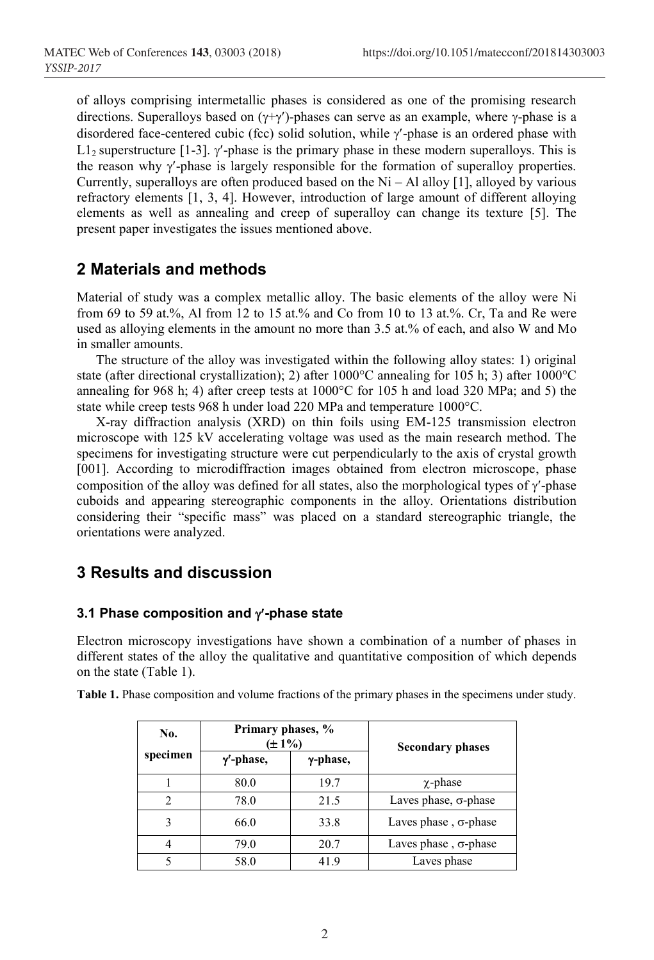of alloys comprising intermetallic phases is considered as one of the promising research directions. Superalloys based on  $(\gamma+\gamma')$ -phases can serve as an example, where  $\gamma$ -phase is a disordered face-centered cubic (fcc) solid solution, while  $\gamma$ -phase is an ordered phase with L1<sub>2</sub> superstructure [1-3].  $\gamma$ -phase is the primary phase in these modern superalloys. This is the reason why  $\gamma$ -phase is largely responsible for the formation of superalloy properties. Currently, superalloys are often produced based on the  $Ni - Al$  alloy [1], alloyed by various refractory elements [1, 3, 4]. However, introduction of large amount of different alloying elements as well as annealing and creep of superalloy can change its texture [5]. The present paper investigates the issues mentioned above.

## **2 Materials and methods**

Material of study was a complex metallic alloy. The basic elements of the alloy were Ni from 69 to 59 at.%, Al from 12 to 15 at.% and Со from 10 to 13 at.%. Cr, Ta and Re were used as alloying elements in the amount no more than 3.5 at.% of each, and also W and Mo in smaller amounts.

The structure of the alloy was investigated within the following alloy states: 1) original state (after directional crystallization); 2) after 1000°C annealing for 105 h; 3) after 1000°C annealing for 968 h; 4) after creep tests at 1000°C for 105 h and load 320 MPa; and 5) the state while creep tests 968 h under load 220 MPa and temperature 1000°C.

X-ray diffraction analysis (XRD) on thin foils using EM-125 transmission electron microscope with 125 kV accelerating voltage was used as the main research method. The specimens for investigating structure were cut perpendicularly to the axis of crystal growth [001]. According to microdiffraction images obtained from electron microscope, phase composition of the alloy was defined for all states, also the morphological types of  $\gamma$ -phase cuboids and appearing stereographic components in the alloy. Orientations distribution considering their "specific mass" was placed on a standard stereographic triangle, the orientations were analyzed.

# **3 Results and discussion**

#### **3.1 Phase composition and**  $\gamma$ **-phase state**

Electron microscopy investigations have shown a combination of a number of phases in different states of the alloy the qualitative and quantitative composition of which depends on the state (Table 1).

| No.<br>specimen | Primary phases, %<br>$(\pm 1\%)$ |          | <b>Secondary phases</b>      |
|-----------------|----------------------------------|----------|------------------------------|
|                 | $\gamma'$ -phase,                | y-phase, |                              |
|                 | 80.0                             | 19.7     | $\chi$ -phase                |
| $\mathfrak{D}$  | 78.0                             | 21.5     | Laves phase, $\sigma$ -phase |
| 3               | 66.0                             | 33.8     | Laves phase, $\sigma$ -phase |
| 4               | 79.0                             | 20.7     | Laves phase, $\sigma$ -phase |
| 5               | 58.0                             | 419      | Laves phase                  |

**Table 1.** Phase composition and volume fractions of the primary phases in the specimens under study.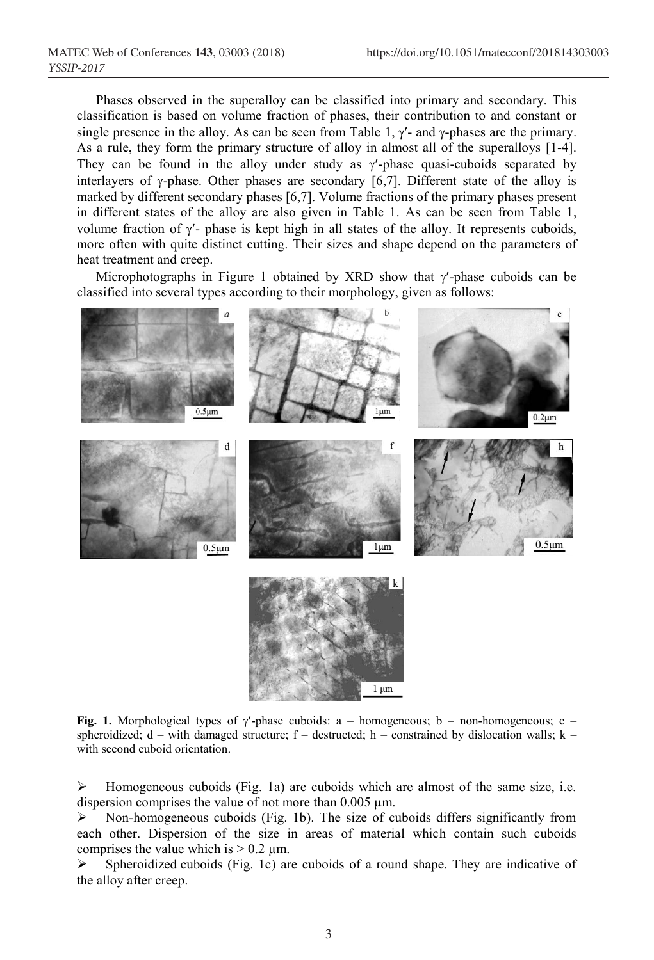Phases observed in the superalloy can be classified into primary and secondary. This classification is based on volume fraction of phases, their contribution to and constant or single presence in the alloy. As can be seen from Table 1,  $\gamma$ - and  $\gamma$ -phases are the primary. As a rule, they form the primary structure of alloy in almost all of the superalloys [1-4]. They can be found in the alloy under study as  $\gamma$ -phase quasi-cuboids separated by interlayers of  $\gamma$ -phase. Other phases are secondary [6,7]. Different state of the alloy is marked by different secondary phases [6,7]. Volume fractions of the primary phases present in different states of the alloy are also given in Table 1. As can be seen from Table 1, volume fraction of  $\gamma'$ - phase is kept high in all states of the alloy. It represents cuboids, more often with quite distinct cutting. Their sizes and shape depend on the parameters of heat treatment and creep.

Microphotographs in Figure 1 obtained by XRD show that  $\gamma'$ -phase cuboids can be classified into several types according to their morphology, given as follows:



**Fig. 1.** Morphological types of  $\gamma$ -phase cuboids: a – homogeneous; b – non-homogeneous; c – spheroidized;  $d$  – with damaged structure;  $f$  – destructed;  $h$  – constrained by dislocation walls;  $k$  – with second cuboid orientation.

Homogeneous cuboids (Fig. 1a) are cuboids which are almost of the same size, i.e. dispersion comprises the value of not more than  $0.005 \mu m$ .

 $\triangleright$  Non-homogeneous cuboids (Fig. 1b). The size of cuboids differs significantly from each other. Dispersion of the size in areas of material which contain such cuboids comprises the value which is  $> 0.2 \mu$ m.

 Spheroidized cuboids (Fig. 1c) are cuboids of a round shape. They are indicative of the alloy after creep.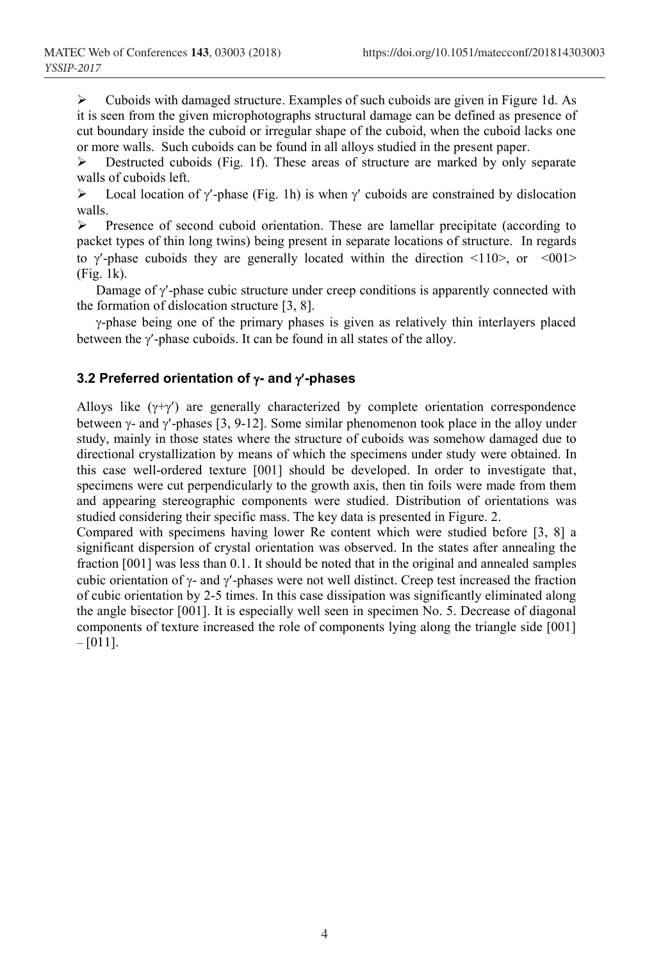$\triangleright$  Cuboids with damaged structure. Examples of such cuboids are given in Figure 1d. As it is seen from the given microphotographs structural damage can be defined as presence of cut boundary inside the cuboid or irregular shape of the cuboid, when the cuboid lacks one or more walls. Such cuboids can be found in all alloys studied in the present paper.

 $\triangleright$  Destructed cuboids (Fig. 1f). These areas of structure are marked by only separate walls of cuboids left.

 $\triangleright$  Local location of  $\gamma$ -phase (Fig. 1h) is when  $\gamma$  cuboids are constrained by dislocation walls.

 $\triangleright$  Presence of second cuboid orientation. These are lamellar precipitate (according to packet types of thin long twins) being present in separate locations of structure. In regards to  $\gamma'$ -phase cuboids they are generally located within the direction  $\langle 110 \rangle$ , or  $\langle 001 \rangle$ (Fig. 1k).

Damage of  $\gamma$ -phase cubic structure under creep conditions is apparently connected with the formation of dislocation structure [3, 8].

 $\gamma$ -phase being one of the primary phases is given as relatively thin interlayers placed between the  $\gamma$ -phase cuboids. It can be found in all states of the alloy.

#### **3.2 Preferred orientation of - and -phases**

Alloys like  $(\gamma+\gamma')$  are generally characterized by complete orientation correspondence between  $\gamma$ - and  $\gamma$ -phases [3, 9-12]. Some similar phenomenon took place in the alloy under study, mainly in those states where the structure of cuboids was somehow damaged due to directional crystallization by means of which the specimens under study were obtained. In this case well-ordered texture [001] should be developed. In order to investigate that, specimens were cut perpendicularly to the growth axis, then tin foils were made from them and appearing stereographic components were studied. Distribution of orientations was studied considering their specific mass. The key data is presented in Figure. 2.

Compared with specimens having lower Re content which were studied before [3, 8] a significant dispersion of crystal orientation was observed. In the states after annealing the fraction [001] was less than 0.1. It should be noted that in the original and annealed samples cubic orientation of  $\gamma$ - and  $\gamma$ -phases were not well distinct. Creep test increased the fraction of cubic orientation by 2-5 times. In this case dissipation was significantly eliminated along the angle bisector [001]. It is especially well seen in specimen No. 5. Decrease of diagonal components of texture increased the role of components lying along the triangle side [001]  $-[011]$ .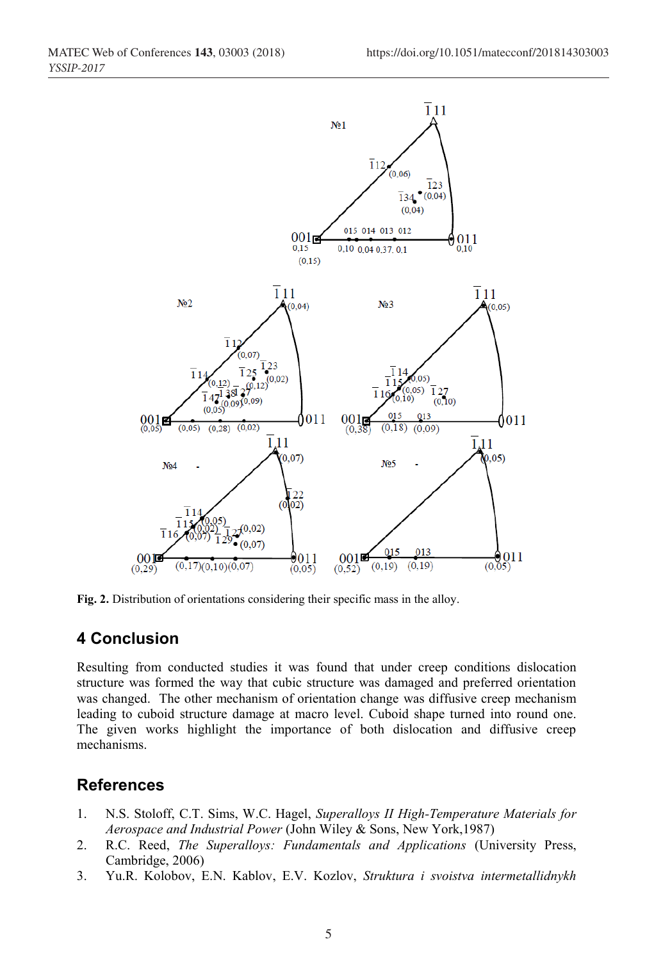

**Fig. 2.** Distribution of orientations considering their specific mass in the alloy.

### **4 Conclusion**

Resulting from conducted studies it was found that under creep conditions dislocation structure was formed the way that cubic structure was damaged and preferred orientation was changed. The other mechanism of orientation change was diffusive creep mechanism leading to cuboid structure damage at macro level. Cuboid shape turned into round one. The given works highlight the importance of both dislocation and diffusive creep mechanisms.

#### **References**

- 1. N.S. Stoloff, C.T. Sims, W.C. Hagel, *Superalloys II High-Temperature Materials for Aerospace and Industrial Power* (John Wiley & Sons, New York,1987)
- 2. R.C. Reed, *The Superalloys: Fundamentals and Applications* (University Press, Cambridge, 2006)
- 3. Yu.R. Kolobov, E.N. Kablov, E.V. Kozlov, *Struktura i svoistva intermetallidnykh*